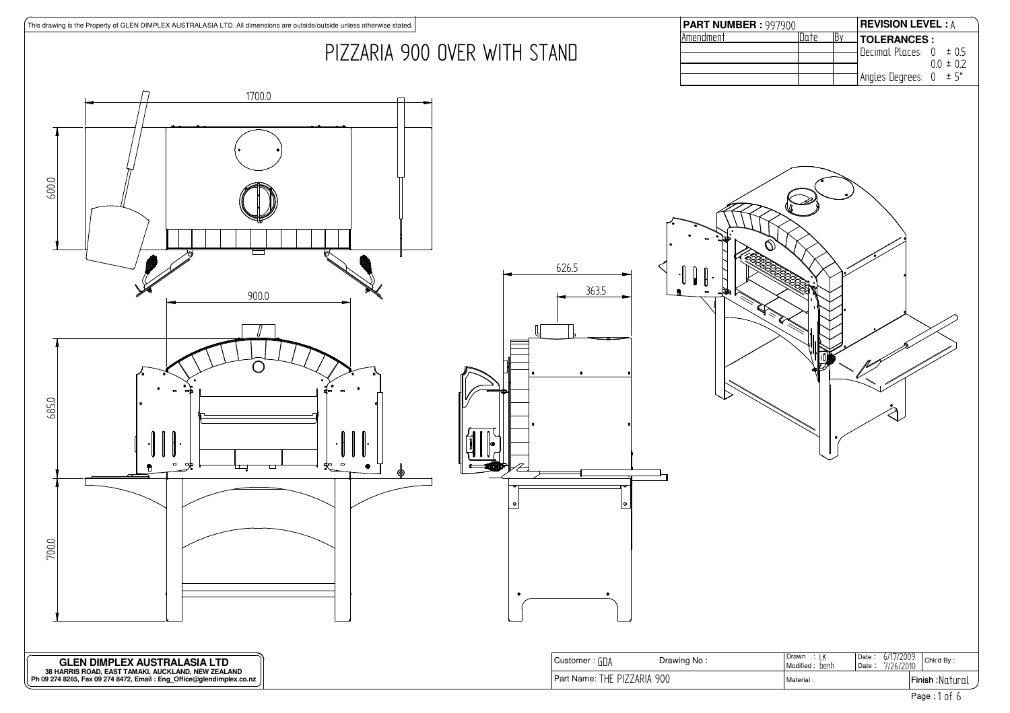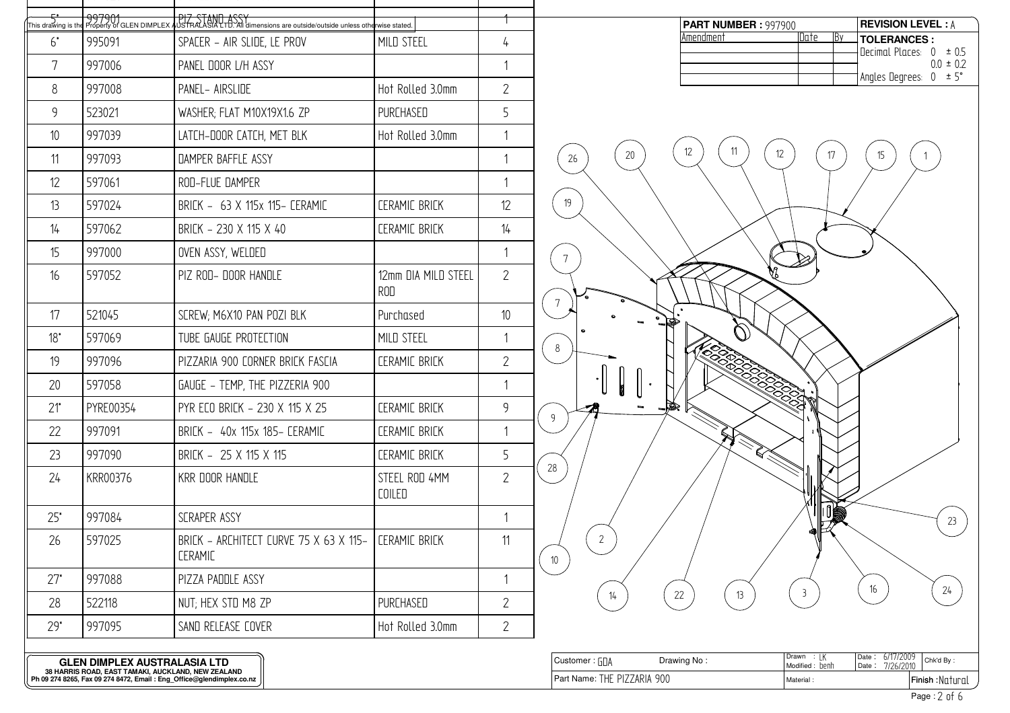| 5*<br>This drawing is the |           | 997901 Property of GLEN DIPLEX AUSTRALIAN ASSYTEM CONSIDERING ASSESSMENT PROPERTY OF GLEN DIMPLEX AUSTRALIASIA LTD. All dimensions are outside/outside unless otherwise stated. |                                |                |  |
|---------------------------|-----------|---------------------------------------------------------------------------------------------------------------------------------------------------------------------------------|--------------------------------|----------------|--|
| $6^*$                     | 995091    | SPACER - AIR SLIDE, LE PROV<br>MILD STEEL                                                                                                                                       |                                |                |  |
| 7                         | 997006    | PANEL DOOR L/H ASSY                                                                                                                                                             |                                | 1              |  |
| 8                         | 997008    | PANEL- AIRSLIDE                                                                                                                                                                 | Hot Rolled 3.0mm               | $\overline{2}$ |  |
| 9                         | 523021    | WASHER; FLAT M10X19X1.6 ZP                                                                                                                                                      | PURCHASED                      | 5              |  |
| 10                        | 997039    | LATCH-DOOR CATCH, MET BLK                                                                                                                                                       | Hot Rolled 3.0mm               | 1              |  |
| 11                        | 997093    | DAMPER BAFFLE ASSY                                                                                                                                                              |                                | 1              |  |
| 12                        | 597061    | ROD-FLUE DAMPER                                                                                                                                                                 |                                | 1              |  |
| 13                        | 597024    | BRICK - 63 X 115x 115- CERAMIC                                                                                                                                                  | <b><i>CERAMIC BRICK</i></b>    | 12             |  |
| 14                        | 597062    | BRICK - 230 X 115 X 40                                                                                                                                                          | <b><i>CERAMIC BRICK</i></b>    | 14             |  |
| 15                        | 997000    | OVEN ASSY, WELDED                                                                                                                                                               |                                | $\mathbf{1}$   |  |
| 16                        | 597052    | PIZ ROD- DOOR HANDLE                                                                                                                                                            | 12mm DIA MILD STEEL<br>ROD     | $\overline{2}$ |  |
| 17                        | 521045    | SCREW; M6X10 PAN POZI BLK                                                                                                                                                       | Purchased                      | 10             |  |
| $18^*$                    | 597069    | TUBE GAUGE PROTECTION                                                                                                                                                           | MILD STEEL                     | $\mathbf{1}$   |  |
| 19                        | 997096    | PIZZARIA 900 CORNER BRICK FASCIA                                                                                                                                                | <b><i>CERAMIC BRICK</i></b>    | $\overline{2}$ |  |
| 20                        | 597058    | GAUGE - TEMP, THE PIZZERIA 900                                                                                                                                                  |                                | $\mathbf{1}$   |  |
| $21^*$                    | PYRE00354 | PYR ECO BRICK - 230 X 115 X 25                                                                                                                                                  | <b><i>CERAMIC BRICK</i></b>    | 9              |  |
| 22                        | 997091    | BRICK - 40x 115x 185- CERAMIC                                                                                                                                                   | <b><i>CERAMIC BRICK</i></b>    | 1              |  |
| 23                        | 997090    | BRICK - 25 X 115 X 115                                                                                                                                                          | <b><i>CERAMIC BRICK</i></b>    | 5              |  |
| 24                        | KRR00376  | <b>KRR DOOR HANDLE</b>                                                                                                                                                          | STEEL ROD 4MM<br><b>COILED</b> | $\overline{2}$ |  |
| 25"                       | 997084    | SCRAPER ASSY                                                                                                                                                                    |                                | 1              |  |
| 26                        | 597025    | BRICK - ARCHITECT CURVE 75 X 63 X 115-<br><b>CERAMIC</b>                                                                                                                        | <b>CERAMIC BRICK</b>           | 11             |  |
| $27*$                     | 997088    | PIZZA PADDLE ASSY                                                                                                                                                               |                                | 1              |  |
| 28                        | 522118    | NUT; HEX STD M8 ZP                                                                                                                                                              | PURCHASED                      | $\overline{2}$ |  |
| $29*$                     | 997095    | SAND RELEASE COVER                                                                                                                                                              | Hot Rolled 3.0mm               | $\overline{2}$ |  |

| <b>PART NUMBER : 997900</b> |      |    | <b>REVISION LEVEL: A</b> |             |
|-----------------------------|------|----|--------------------------|-------------|
| Amendment                   | atnr | B٧ | <b>TOLERANCES :</b>      |             |
|                             |      |    | INerimal Places: 0 ± 0.5 |             |
|                             |      |    |                          | $00 \pm 02$ |
|                             |      |    | Angles Degrees: 0 ± 5°   |             |



:

Part Name: Material 

Finish : Page :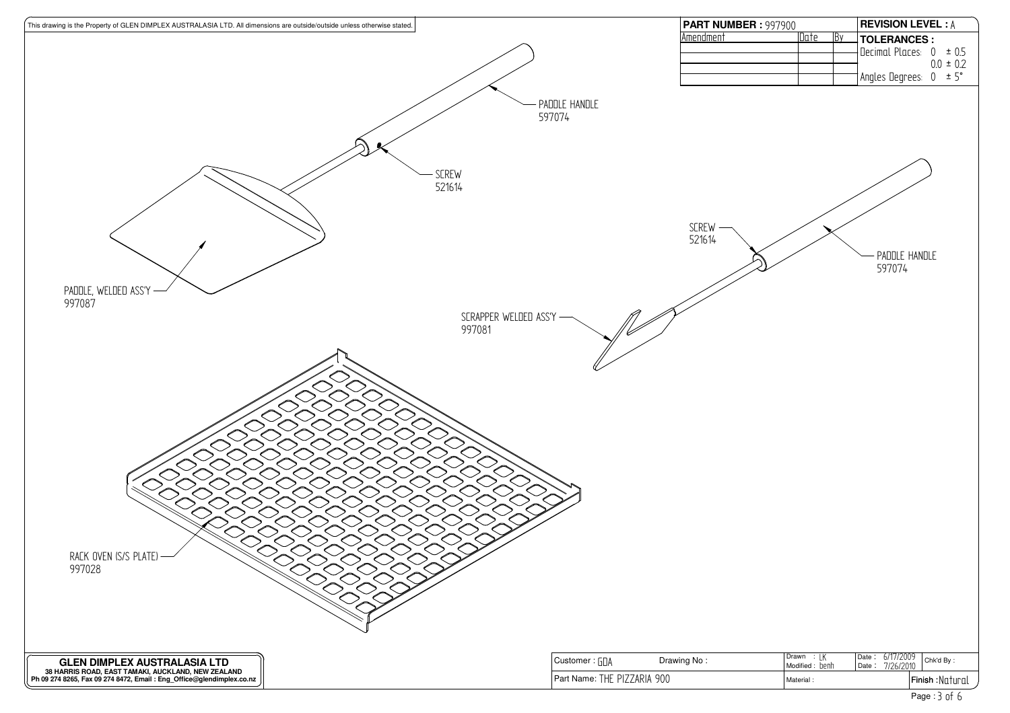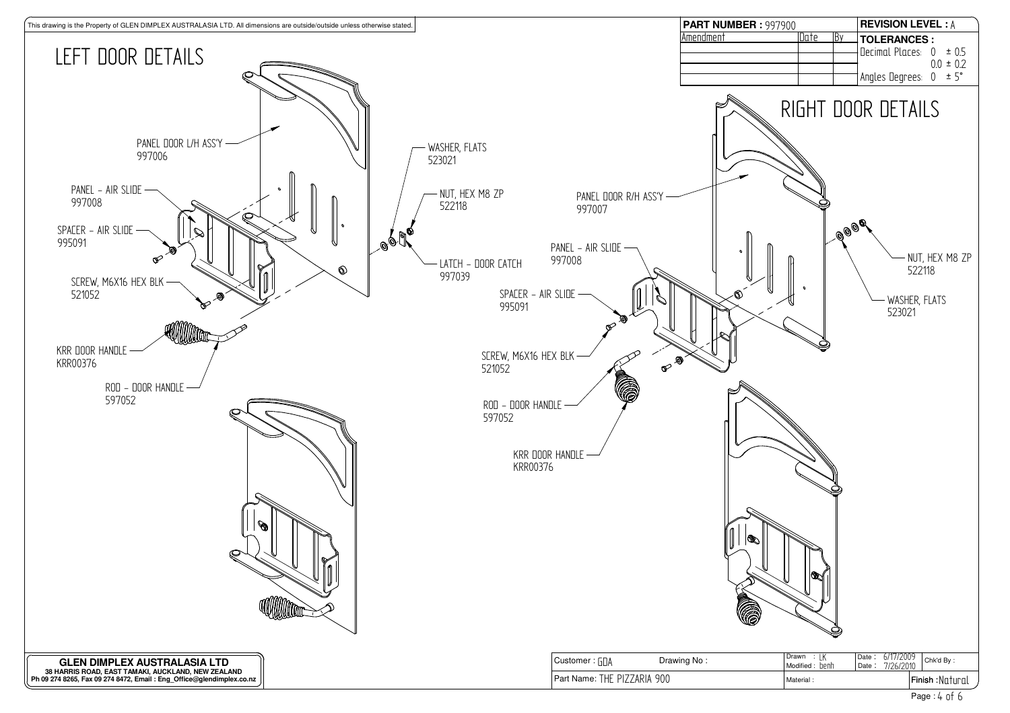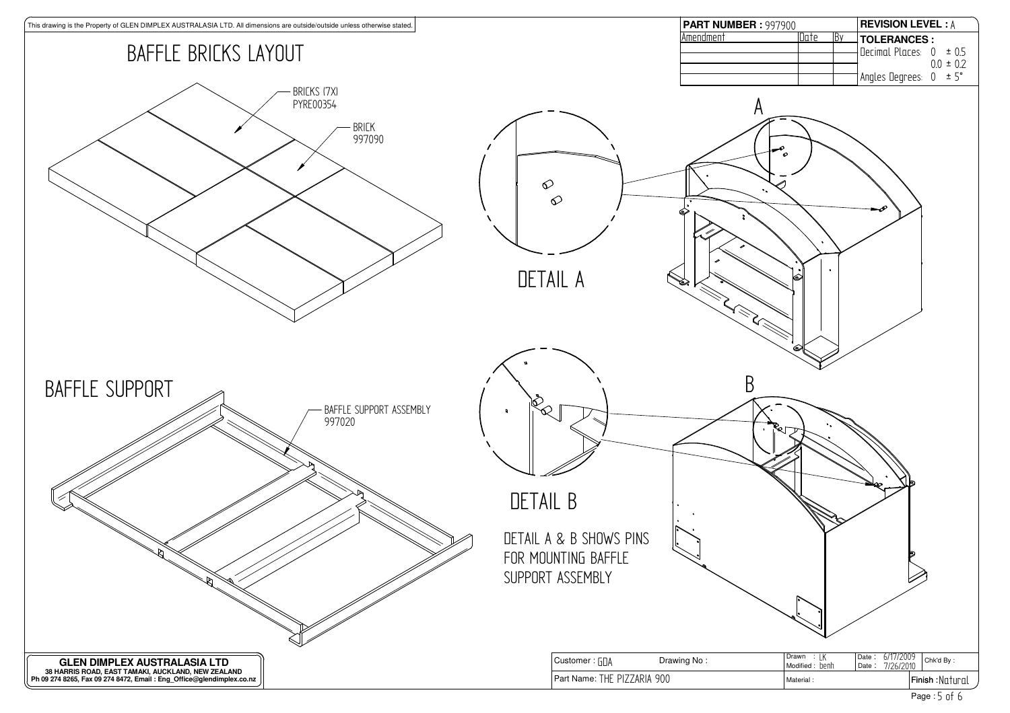